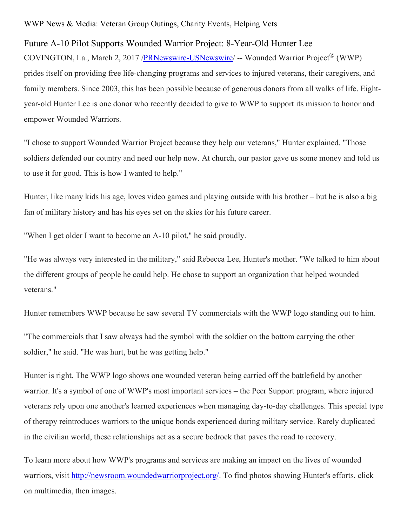## WWP News & Media: Veteran Group Outings, Charity Events, Helping Vets

## Future A-10 Pilot Supports Wounded Warrior Project: 8-Year-Old Hunter Lee

COVINGTON, La., March 2, 2017 [/PRNewswire-USNewswire](http://www.prnewswire.com/)/ -- Wounded Warrior Project® (WWP) prides itself on providing free life-changing programs and services to injured veterans, their caregivers, and family members. Since 2003, this has been possible because of generous donors from all walks of life. Eightyear-old Hunter Lee is one donor who recently decided to give to WWP to support its mission to honor and empower Wounded Warriors.

"I chose to support Wounded Warrior Project because they help our veterans," Hunter explained. "Those soldiers defended our country and need our help now. At church, our pastor gave us some money and told us to use it for good. This is how I wanted to help."

Hunter, like many kids his age, loves video games and playing outside with his brother – but he is also a big fan of military history and has his eyes set on the skies for his future career.

"When I get older I want to become an A-10 pilot," he said proudly.

"He was always very interested in the military," said Rebecca Lee, Hunter's mother. "We talked to him about the different groups of people he could help. He chose to support an organization that helped wounded veterans."

Hunter remembers WWP because he saw several TV commercials with the WWP logo standing out to him.

"The commercials that I saw always had the symbol with the soldier on the bottom carrying the other soldier," he said. "He was hurt, but he was getting help."

Hunter is right. The WWP logo shows one wounded veteran being carried off the battlefield by another warrior. It's a symbol of one of WWP's most important services – the Peer Support program, where injured veterans rely upon one another's learned experiences when managing day-to-day challenges. This special type of therapy reintroduces warriors to the unique bonds experienced during military service. Rarely duplicated in the civilian world, these relationships act as a secure bedrock that paves the road to recovery.

To learn more about how WWP's programs and services are making an impact on the lives of wounded warriors, visit <http://newsroom.woundedwarriorproject.org/>. To find photos showing Hunter's efforts, click on multimedia, then images.